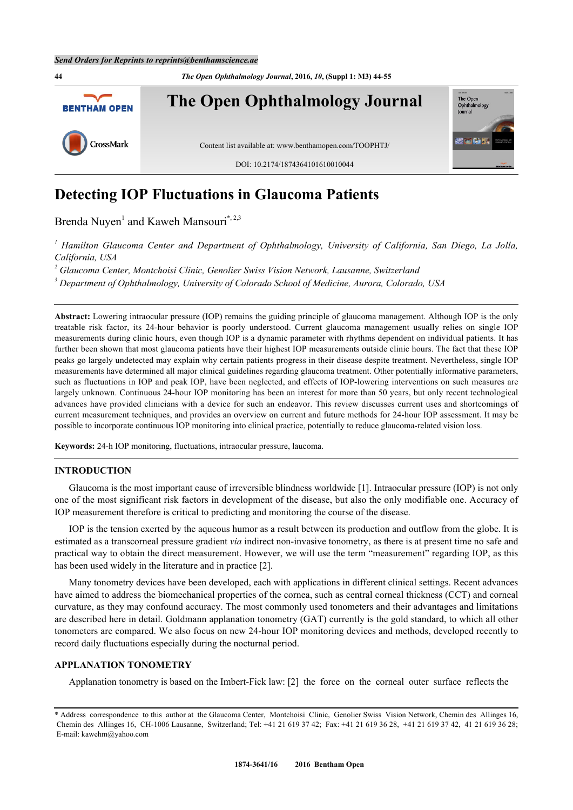

# **Detecting IOP Fluctuations in Glaucoma Patients**

Brenda Nuyen<sup>[1](#page-0-0)</sup> and Kaweh Mansouri<sup>[\\*](#page-0-1), [2](#page-0-2)[,3](#page-0-3)</sup>

<span id="page-0-0"></span>*1 Hamilton Glaucoma Center and Department of Ophthalmology, University of California, San Diego, La Jolla, California, USA*

<span id="page-0-2"></span><sup>2</sup> Glaucoma Center, Montchoisi Clinic, Genolier Swiss Vision Network, Lausanne, Switzerland

<span id="page-0-3"></span>*3 Department of Ophthalmology, University of Colorado School of Medicine, Aurora, Colorado, USA*

**Abstract:** Lowering intraocular pressure (IOP) remains the guiding principle of glaucoma management. Although IOP is the only treatable risk factor, its 24-hour behavior is poorly understood. Current glaucoma management usually relies on single IOP measurements during clinic hours, even though IOP is a dynamic parameter with rhythms dependent on individual patients. It has further been shown that most glaucoma patients have their highest IOP measurements outside clinic hours. The fact that these IOP peaks go largely undetected may explain why certain patients progress in their disease despite treatment. Nevertheless, single IOP measurements have determined all major clinical guidelines regarding glaucoma treatment. Other potentially informative parameters, such as fluctuations in IOP and peak IOP, have been neglected, and effects of IOP-lowering interventions on such measures are largely unknown. Continuous 24-hour IOP monitoring has been an interest for more than 50 years, but only recent technological advances have provided clinicians with a device for such an endeavor. This review discusses current uses and shortcomings of current measurement techniques, and provides an overview on current and future methods for 24-hour IOP assessment. It may be possible to incorporate continuous IOP monitoring into clinical practice, potentially to reduce glaucoma-related vision loss.

**Keywords:** 24-h IOP monitoring, fluctuations, intraocular pressure, laucoma.

# **INTRODUCTION**

Glaucoma is the most important cause of irreversible blindness worldwide [\[1](#page-6-0)]. Intraocular pressure (IOP) is not only one of the most significant risk factors in development of the disease, but also the only modifiable one. Accuracy of IOP measurement therefore is critical to predicting and monitoring the course of the disease.

IOP is the tension exerted by the aqueous humor as a result between its production and outflow from the globe. It is estimated as a transcorneal pressure gradient *via* indirect non-invasive tonometry, as there is at present time no safe and practical way to obtain the direct measurement. However, we will use the term "measurement" regarding IOP, as this has been used widely in the literature and in practice [[2\]](#page-6-1).

Many tonometry devices have been developed, each with applications in different clinical settings. Recent advances have aimed to address the biomechanical properties of the cornea, such as central corneal thickness (CCT) and corneal curvature, as they may confound accuracy. The most commonly used tonometers and their advantages and limitations are described here in detail. Goldmann applanation tonometry (GAT) currently is the gold standard, to which all other tonometers are compared. We also focus on new 24-hour IOP monitoring devices and methods, developed recently to record daily fluctuations especially during the nocturnal period.

## **APPLANATION TONOMETRY**

Applanation tonometry is based on the Imbert-Fick law: [\[2](#page-6-1)] the force on the corneal outer surface reflects the

<span id="page-0-1"></span><sup>\*</sup> Address correspondence to this author at the Glaucoma Center, Montchoisi Clinic, Genolier Swiss Vision Network, Chemin des Allinges 16, Chemin des Allinges 16, CH-1006 Lausanne, Switzerland; Tel: +41 21 619 37 42; Fax: +41 21 619 36 28, +41 21 619 37 42, 41 21 619 36 28; E-mail: [kawehm@yahoo.com](mailto:kawehm@yahoo.com)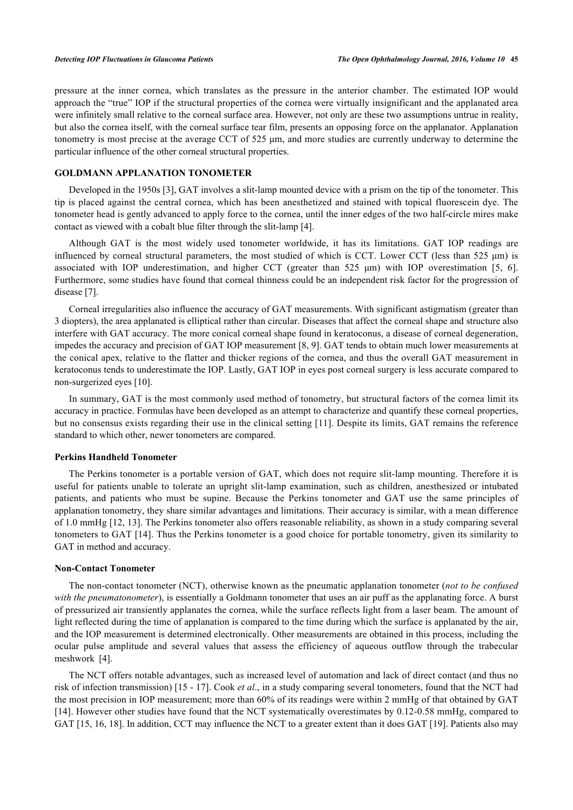pressure at the inner cornea, which translates as the pressure in the anterior chamber. The estimated IOP would approach the "true" IOP if the structural properties of the cornea were virtually insignificant and the applanated area were infinitely small relative to the corneal surface area. However, not only are these two assumptions untrue in reality, but also the cornea itself, with the corneal surface tear film, presents an opposing force on the applanator. Applanation tonometry is most precise at the average CCT of 525 μm, and more studies are currently underway to determine the particular influence of the other corneal structural properties.

# **GOLDMANN APPLANATION TONOMETER**

Developed in the 1950s [\[3](#page-6-2)], GAT involves a slit-lamp mounted device with a prism on the tip of the tonometer. This tip is placed against the central cornea, which has been anesthetized and stained with topical fluorescein dye. The tonometer head is gently advanced to apply force to the cornea, until the inner edges of the two half-circle mires make contact as viewed with a cobalt blue filter through the slit-lamp [[4\]](#page-6-3).

Although GAT is the most widely used tonometer worldwide, it has its limitations. GAT IOP readings are influenced by corneal structural parameters, the most studied of which is CCT. Lower CCT (less than 525 μm) is associated with IOP underestimation, and higher CCT (greater than 525 μm) with IOP overestimation[[5](#page-6-4)[, 6\]](#page-6-5). Furthermore, some studies have found that corneal thinness could be an independent risk factor for the progression of disease [\[7](#page-6-6)].

Corneal irregularities also influence the accuracy of GAT measurements. With significant astigmatism (greater than 3 diopters), the area applanated is elliptical rather than circular. Diseases that affect the corneal shape and structure also interfere with GAT accuracy. The more conical corneal shape found in keratoconus, a disease of corneal degeneration, impedes the accuracy and precision of GAT IOP measurement [\[8](#page-6-7), [9\]](#page-6-8). GAT tends to obtain much lower measurements at the conical apex, relative to the flatter and thicker regions of the cornea, and thus the overall GAT measurement in keratoconus tends to underestimate the IOP. Lastly, GAT IOP in eyes post corneal surgery is less accurate compared to non-surgerized eyes [[10\]](#page-6-9).

In summary, GAT is the most commonly used method of tonometry, but structural factors of the cornea limit its accuracy in practice. Formulas have been developed as an attempt to characterize and quantify these corneal properties, but no consensus exists regarding their use in the clinical setting [[11\]](#page-7-0). Despite its limits, GAT remains the reference standard to which other, newer tonometers are compared.

# **Perkins Handheld Tonometer**

The Perkins tonometer is a portable version of GAT, which does not require slit-lamp mounting. Therefore it is useful for patients unable to tolerate an upright slit-lamp examination, such as children, anesthesized or intubated patients, and patients who must be supine. Because the Perkins tonometer and GAT use the same principles of applanation tonometry, they share similar advantages and limitations. Their accuracy is similar, with a mean difference of 1.0 mmHg [\[12](#page-7-1), [13](#page-7-2)]. The Perkins tonometer also offers reasonable reliability, as shown in a study comparing several tonometers to GAT [\[14\]](#page-7-3). Thus the Perkins tonometer is a good choice for portable tonometry, given its similarity to GAT in method and accuracy.

#### **Non-Contact Tonometer**

The non-contact tonometer (NCT), otherwise known as the pneumatic applanation tonometer (*not to be confused with the pneumatonometer*), is essentially a Goldmann tonometer that uses an air puff as the applanating force. A burst of pressurized air transiently applanates the cornea, while the surface reflects light from a laser beam. The amount of light reflected during the time of applanation is compared to the time during which the surface is applanated by the air, and the IOP measurement is determined electronically. Other measurements are obtained in this process, including the ocular pulse amplitude and several values that assess the efficiency of aqueous outflow through the trabecular meshwork [\[4](#page-6-3)].

The NCT offers notable advantages, such as increased level of automation and lack of direct contact (and thus no risk of infection transmission) [[15](#page-7-4) - [17\]](#page-7-5). Cook *et al*., in a study comparing several tonometers, found that the NCT had the most precision in IOP measurement; more than 60% of its readings were within 2 mmHg of that obtained by GAT [\[14](#page-7-3)]. However other studies have found that the NCT systematically overestimates by 0.12-0.58 mmHg, compared to GAT [\[15](#page-7-4), [16](#page-7-6), [18](#page-7-7)]. In addition, CCT may influence the NCT to a greater extent than it does GAT [[19\]](#page-7-8). Patients also may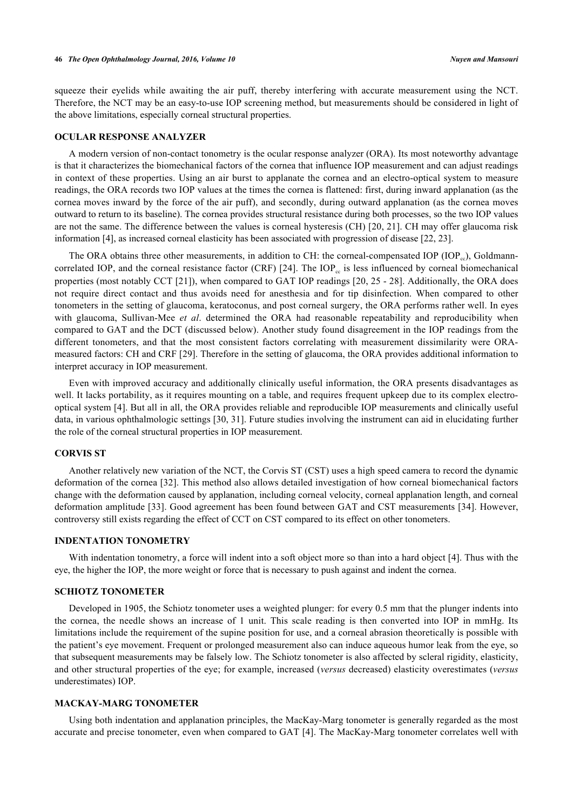squeeze their eyelids while awaiting the air puff, thereby interfering with accurate measurement using the NCT. Therefore, the NCT may be an easy-to-use IOP screening method, but measurements should be considered in light of the above limitations, especially corneal structural properties.

# **OCULAR RESPONSE ANALYZER**

A modern version of non-contact tonometry is the ocular response analyzer (ORA). Its most noteworthy advantage is that it characterizes the biomechanical factors of the cornea that influence IOP measurement and can adjust readings in context of these properties. Using an air burst to applanate the cornea and an electro-optical system to measure readings, the ORA records two IOP values at the times the cornea is flattened: first, during inward applanation (as the cornea moves inward by the force of the air puff), and secondly, during outward applanation (as the cornea moves outward to return to its baseline). The cornea provides structural resistance during both processes, so the two IOP values are not the same. The difference between the values is corneal hysteresis (CH) [\[20,](#page-7-9) [21](#page-7-10)]. CH may offer glaucoma risk information [[4\]](#page-6-3), as increased corneal elasticity has been associated with progression of disease [\[22](#page-7-11), [23](#page-7-12)].

The ORA obtains three other measurements, in addition to CH: the corneal-compensated IOP (IOP<sub>cc</sub>), Goldmanncorrelated IOP, and the corneal resistance factor (CRF)  $[24]$  $[24]$ . The IOP<sub>cc</sub> is less influenced by corneal biomechanical properties (most notably CCT [[21\]](#page-7-10)), when compared to GAT IOP readings [[20](#page-7-9), [25](#page-7-14) - [28\]](#page-7-15). Additionally, the ORA does not require direct contact and thus avoids need for anesthesia and for tip disinfection. When compared to other tonometers in the setting of glaucoma, keratoconus, and post corneal surgery, the ORA performs rather well. In eyes with glaucoma, Sullivan-Mee *et al*. determined the ORA had reasonable repeatability and reproducibility when compared to GAT and the DCT (discussed below). Another study found disagreement in the IOP readings from the different tonometers, and that the most consistent factors correlating with measurement dissimilarity were ORAmeasured factors: CH and CRF [[29\]](#page-7-16). Therefore in the setting of glaucoma, the ORA provides additional information to interpret accuracy in IOP measurement.

Even with improved accuracy and additionally clinically useful information, the ORA presents disadvantages as well. It lacks portability, as it requires mounting on a table, and requires frequent upkeep due to its complex electrooptical system [[4\]](#page-6-3). But all in all, the ORA provides reliable and reproducible IOP measurements and clinically useful data, in various ophthalmologic settings [[30,](#page-7-17) [31](#page-8-0)]. Future studies involving the instrument can aid in elucidating further the role of the corneal structural properties in IOP measurement.

# **CORVIS ST**

Another relatively new variation of the NCT, the Corvis ST (CST) uses a high speed camera to record the dynamic deformation of the cornea [[32](#page-8-1)]. This method also allows detailed investigation of how corneal biomechanical factors change with the deformation caused by applanation, including corneal velocity, corneal applanation length, and corneal deformation amplitude [\[33](#page-8-2)]. Good agreement has been found between GAT and CST measurements [\[34\]](#page-8-3). However, controversy still exists regarding the effect of CCT on CST compared to its effect on other tonometers.

# **INDENTATION TONOMETRY**

With indentation tonometry, a force will indent into a soft object more so than into a hard object [[4](#page-6-3)]. Thus with the eye, the higher the IOP, the more weight or force that is necessary to push against and indent the cornea.

# **SCHIOTZ TONOMETER**

Developed in 1905, the Schiotz tonometer uses a weighted plunger: for every 0.5 mm that the plunger indents into the cornea, the needle shows an increase of 1 unit. This scale reading is then converted into IOP in mmHg. Its limitations include the requirement of the supine position for use, and a corneal abrasion theoretically is possible with the patient's eye movement. Frequent or prolonged measurement also can induce aqueous humor leak from the eye, so that subsequent measurements may be falsely low. The Schiotz tonometer is also affected by scleral rigidity, elasticity, and other structural properties of the eye; for example, increased (*versus* decreased) elasticity overestimates (*versus* underestimates) IOP.

# **MACKAY-MARG TONOMETER**

Using both indentation and applanation principles, the MacKay-Marg tonometer is generally regarded as the most accurate and precise tonometer, even when compared to GAT [\[4\]](#page-6-3). The MacKay-Marg tonometer correlates well with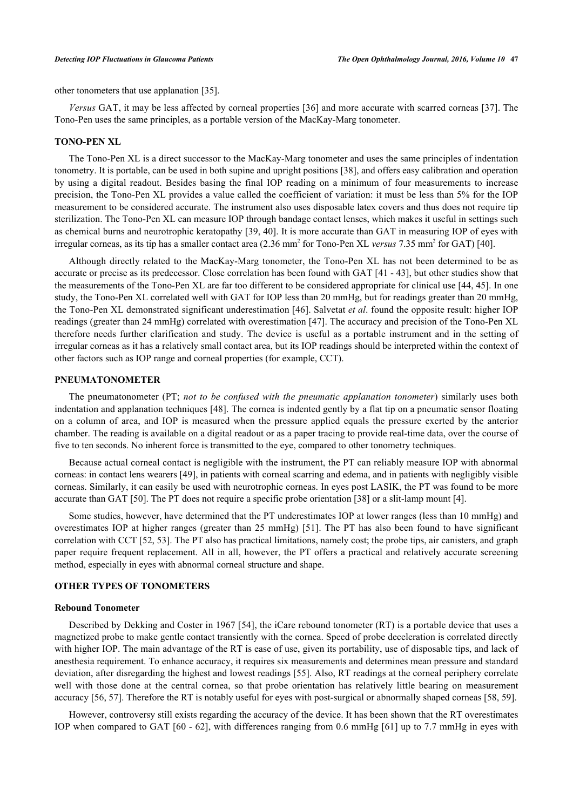other tonometers that use applanation [[35\]](#page-8-4).

*Versus* GAT, it may be less affected by corneal properties [[36\]](#page-8-5) and more accurate with scarred corneas [[37\]](#page-8-6). The Tono-Pen uses the same principles, as a portable version of the MacKay-Marg tonometer.

# **TONO-PEN XL**

The Tono-Pen XL is a direct successor to the MacKay-Marg tonometer and uses the same principles of indentation tonometry. It is portable, can be used in both supine and upright positions [\[38](#page-8-7)], and offers easy calibration and operation by using a digital readout. Besides basing the final IOP reading on a minimum of four measurements to increase precision, the Tono-Pen XL provides a value called the coefficient of variation: it must be less than 5% for the IOP measurement to be considered accurate. The instrument also uses disposable latex covers and thus does not require tip sterilization. The Tono-Pen XL can measure IOP through bandage contact lenses, which makes it useful in settings such as chemical burns and neurotrophic keratopathy [\[39](#page-8-8), [40\]](#page-8-9). It is more accurate than GAT in measuring IOP of eyes with irregular corneas, as its tip has a smaller contact area (2.36 mm<sup>2</sup> for Tono-Pen XL *versus* 7.35 mm<sup>2</sup> for GAT) [\[40](#page-8-9)].

Although directly related to the MacKay-Marg tonometer, the Tono-Pen XL has not been determined to be as accurate or precise as its predecessor. Close correlation has been found with GAT [\[41](#page-8-10) - [43\]](#page-8-11), but other studies show that the measurements of the Tono-Pen XL are far too different to be considered appropriate for clinical use [[44,](#page-8-12) [45\]](#page-8-13). In one study, the Tono-Pen XL correlated well with GAT for IOP less than 20 mmHg, but for readings greater than 20 mmHg, the Tono-Pen XL demonstrated significant underestimation [[46](#page-8-14)]. Salvetat *et al*. found the opposite result: higher IOP readings (greater than 24 mmHg) correlated with overestimation [\[47](#page-8-15)]. The accuracy and precision of the Tono-Pen XL therefore needs further clarification and study. The device is useful as a portable instrument and in the setting of irregular corneas as it has a relatively small contact area, but its IOP readings should be interpreted within the context of other factors such as IOP range and corneal properties (for example, CCT).

#### **PNEUMATONOMETER**

The pneumatonometer (PT; *not to be confused with the pneumatic applanation tonometer*) similarly uses both indentation and applanation techniques [[48\]](#page-8-16). The cornea is indented gently by a flat tip on a pneumatic sensor floating on a column of area, and IOP is measured when the pressure applied equals the pressure exerted by the anterior chamber. The reading is available on a digital readout or as a paper tracing to provide real-time data, over the course of five to ten seconds. No inherent force is transmitted to the eye, compared to other tonometry techniques.

Because actual corneal contact is negligible with the instrument, the PT can reliably measure IOP with abnormal corneas: in contact lens wearers [[49\]](#page-8-17), in patients with corneal scarring and edema, and in patients with negligibly visible corneas. Similarly, it can easily be used with neurotrophic corneas. In eyes post LASIK, the PT was found to be more accurate than GAT [[50\]](#page-8-18). The PT does not require a specific probe orientation [\[38](#page-8-7)] or a slit-lamp mount [\[4](#page-6-3)].

Some studies, however, have determined that the PT underestimates IOP at lower ranges (less than 10 mmHg) and overestimates IOP at higher ranges (greater than 25 mmHg) [[51\]](#page-9-0). The PT has also been found to have significant correlation with CCT [\[52](#page-9-1), [53](#page-9-2)]. The PT also has practical limitations, namely cost; the probe tips, air canisters, and graph paper require frequent replacement. All in all, however, the PT offers a practical and relatively accurate screening method, especially in eyes with abnormal corneal structure and shape.

# **OTHER TYPES OF TONOMETERS**

# **Rebound Tonometer**

Described by Dekking and Coster in 1967 [[54](#page-9-3)], the iCare rebound tonometer (RT) is a portable device that uses a magnetized probe to make gentle contact transiently with the cornea. Speed of probe deceleration is correlated directly with higher IOP. The main advantage of the RT is ease of use, given its portability, use of disposable tips, and lack of anesthesia requirement. To enhance accuracy, it requires six measurements and determines mean pressure and standard deviation, after disregarding the highest and lowest readings [\[55](#page-9-4)]. Also, RT readings at the corneal periphery correlate well with those done at the central cornea, so that probe orientation has relatively little bearing on measurement accuracy [\[56](#page-9-5), [57](#page-9-6)]. Therefore the RT is notably useful for eyes with post-surgical or abnormally shaped corneas [\[58](#page-9-7), [59](#page-9-8)].

However, controversy still exists regarding the accuracy of the device. It has been shown that the RT overestimates IOP when compared to GAT [[60](#page-9-9) - [62](#page-9-10)], with differences ranging from 0.6 mmHg [[61](#page-9-11)] up to 7.7 mmHg in eyes with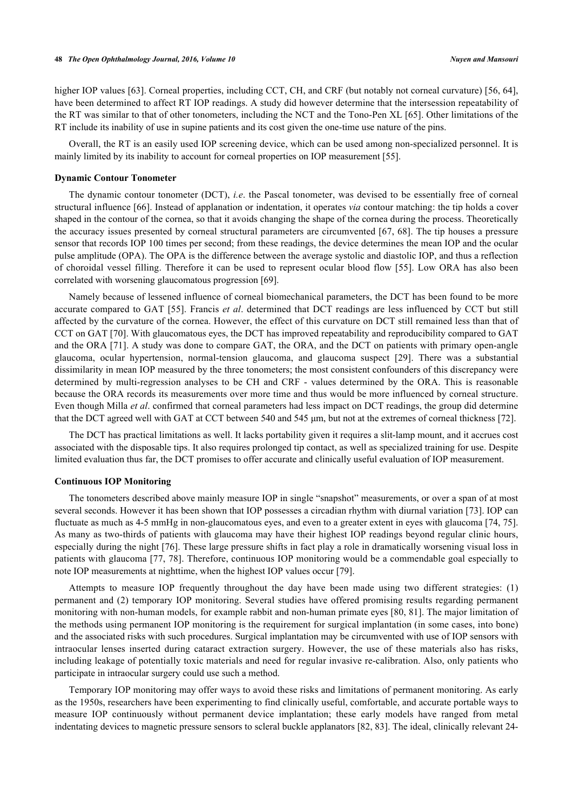higher IOP values [\[63](#page-9-12)]. Corneal properties, including CCT, CH, and CRF (but notably not corneal curvature) [\[56](#page-9-5), [64\]](#page-9-13), have been determined to affect RT IOP readings. A study did however determine that the intersession repeatability of the RT was similar to that of other tonometers, including the NCT and the Tono-Pen XL [\[65](#page-9-14)]. Other limitations of the RT include its inability of use in supine patients and its cost given the one-time use nature of the pins.

Overall, the RT is an easily used IOP screening device, which can be used among non-specialized personnel. It is mainly limited by its inability to account for corneal properties on IOP measurement [[55\]](#page-9-4).

#### **Dynamic Contour Tonometer**

The dynamic contour tonometer (DCT), *i.e*. the Pascal tonometer, was devised to be essentially free of corneal structural influence [\[66](#page-9-15)]. Instead of applanation or indentation, it operates *via* contour matching: the tip holds a cover shaped in the contour of the cornea, so that it avoids changing the shape of the cornea during the process. Theoretically the accuracy issues presented by corneal structural parameters are circumvented [[67](#page-9-16), [68](#page-9-17)]. The tip houses a pressure sensor that records IOP 100 times per second; from these readings, the device determines the mean IOP and the ocular pulse amplitude (OPA). The OPA is the difference between the average systolic and diastolic IOP, and thus a reflection of choroidal vessel filling. Therefore it can be used to represent ocular blood flow [\[55](#page-9-4)]. Low ORA has also been correlated with worsening glaucomatous progression [\[69](#page-9-18)].

Namely because of lessened influence of corneal biomechanical parameters, the DCT has been found to be more accurate compared to GAT [[55\]](#page-9-4). Francis *et al*. determined that DCT readings are less influenced by CCT but still affected by the curvature of the cornea. However, the effect of this curvature on DCT still remained less than that of CCT on GAT [[70\]](#page-9-19). With glaucomatous eyes, the DCT has improved repeatability and reproducibility compared to GAT and the ORA [[71\]](#page-9-20). A study was done to compare GAT, the ORA, and the DCT on patients with primary open-angle glaucoma, ocular hypertension, normal-tension glaucoma, and glaucoma suspect[[29\]](#page-7-16). There was a substantial dissimilarity in mean IOP measured by the three tonometers; the most consistent confounders of this discrepancy were determined by multi-regression analyses to be CH and CRF - values determined by the ORA. This is reasonable because the ORA records its measurements over more time and thus would be more influenced by corneal structure. Even though Milla *et al*. confirmed that corneal parameters had less impact on DCT readings, the group did determine that the DCT agreed well with GAT at CCT between 540 and 545 μm, but not at the extremes of corneal thickness [[72\]](#page-10-0).

The DCT has practical limitations as well. It lacks portability given it requires a slit-lamp mount, and it accrues cost associated with the disposable tips. It also requires prolonged tip contact, as well as specialized training for use. Despite limited evaluation thus far, the DCT promises to offer accurate and clinically useful evaluation of IOP measurement.

#### **Continuous IOP Monitoring**

The tonometers described above mainly measure IOP in single "snapshot" measurements, or over a span of at most several seconds. However it has been shown that IOP possesses a circadian rhythm with diurnal variation [\[73](#page-10-1)]. IOP can fluctuate as much as 4-5 mmHg in non-glaucomatous eyes, and even to a greater extent in eyes with glaucoma [[74,](#page-10-2) [75\]](#page-10-3). As many as two-thirds of patients with glaucoma may have their highest IOP readings beyond regular clinic hours, especially during the night [\[76\]](#page-10-4). These large pressure shifts in fact play a role in dramatically worsening visual loss in patients with glaucoma [\[77](#page-10-5), [78](#page-10-6)]. Therefore, continuous IOP monitoring would be a commendable goal especially to note IOP measurements at nighttime, when the highest IOP values occur [[79\]](#page-10-7).

Attempts to measure IOP frequently throughout the day have been made using two different strategies: (1) permanent and (2) temporary IOP monitoring. Several studies have offered promising results regarding permanent monitoring with non-human models, for example rabbit and non-human primate eyes [\[80,](#page-10-8) [81\]](#page-10-9). The major limitation of the methods using permanent IOP monitoring is the requirement for surgical implantation (in some cases, into bone) and the associated risks with such procedures. Surgical implantation may be circumvented with use of IOP sensors with intraocular lenses inserted during cataract extraction surgery. However, the use of these materials also has risks, including leakage of potentially toxic materials and need for regular invasive re-calibration. Also, only patients who participate in intraocular surgery could use such a method.

Temporary IOP monitoring may offer ways to avoid these risks and limitations of permanent monitoring. As early as the 1950s, researchers have been experimenting to find clinically useful, comfortable, and accurate portable ways to measure IOP continuously without permanent device implantation; these early models have ranged from metal indentating devices to magnetic pressure sensors to scleral buckle applanators [[82,](#page-10-10) [83\]](#page-10-11). The ideal, clinically relevant 24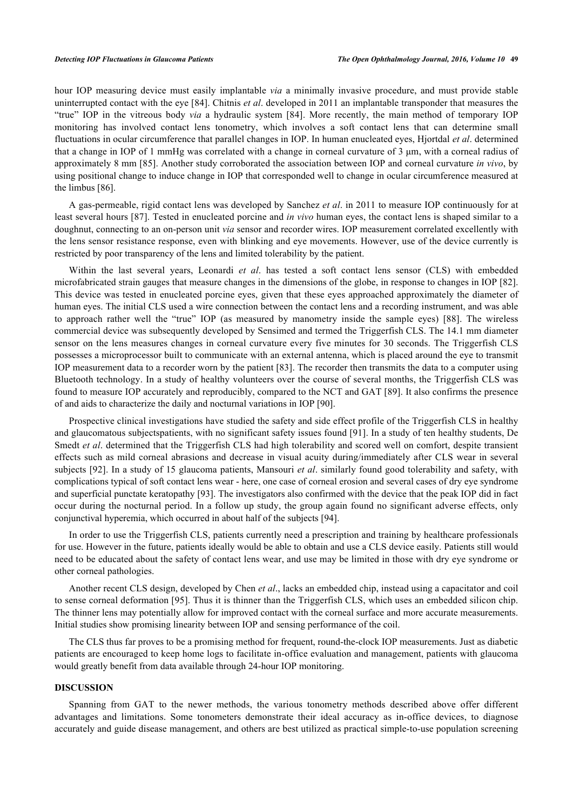hour IOP measuring device must easily implantable *via* a minimally invasive procedure, and must provide stable uninterrupted contact with the eye [\[84](#page-10-12)]. Chitnis *et al*. developed in 2011 an implantable transponder that measures the "true" IOP in the vitreous body *via* a hydraulic system [\[84](#page-10-12)]. More recently, the main method of temporary IOP monitoring has involved contact lens tonometry, which involves a soft contact lens that can determine small fluctuations in ocular circumference that parallel changes in IOP. In human enucleated eyes, Hjortdal *et al*. determined that a change in IOP of 1 mmHg was correlated with a change in corneal curvature of 3 μm, with a corneal radius of approximately 8 mm [\[85\]](#page-10-13). Another study corroborated the association between IOP and corneal curvature *in vivo*, by using positional change to induce change in IOP that corresponded well to change in ocular circumference measured at the limbus [\[86](#page-10-14)].

A gas-permeable, rigid contact lens was developed by Sanchez *et al*. in 2011 to measure IOP continuously for at least several hours [[87\]](#page-10-15). Tested in enucleated porcine and *in vivo* human eyes, the contact lens is shaped similar to a doughnut, connecting to an on-person unit *via* sensor and recorder wires. IOP measurement correlated excellently with the lens sensor resistance response, even with blinking and eye movements. However, use of the device currently is restricted by poor transparency of the lens and limited tolerability by the patient.

Within the last several years, Leonardi *et al*. has tested a soft contact lens sensor (CLS) with embedded microfabricated strain gauges that measure changes in the dimensions of the globe, in response to changes in IOP [[82\]](#page-10-10). This device was tested in enucleated porcine eyes, given that these eyes approached approximately the diameter of human eyes. The initial CLS used a wire connection between the contact lens and a recording instrument, and was able to approach rather well the "true" IOP (as measured by manometry inside the sample eyes)[[88](#page-10-16)]. The wireless commercial device was subsequently developed by Sensimed and termed the Triggerfish CLS. The 14.1 mm diameter sensor on the lens measures changes in corneal curvature every five minutes for 30 seconds. The Triggerfish CLS possesses a microprocessor built to communicate with an external antenna, which is placed around the eye to transmit IOP measurement data to a recorder worn by the patient [\[83\]](#page-10-11). The recorder then transmits the data to a computer using Bluetooth technology. In a study of healthy volunteers over the course of several months, the Triggerfish CLS was found to measure IOP accurately and reproducibly, compared to the NCT and GAT [[89\]](#page-10-17). It also confirms the presence of and aids to characterize the daily and nocturnal variations in IOP [[90\]](#page-10-18).

Prospective clinical investigations have studied the safety and side effect profile of the Triggerfish CLS in healthy and glaucomatous subjectspatients, with no significant safety issues found [[91\]](#page-10-19). In a study of ten healthy students, De Smedt *et al*. determined that the Triggerfish CLS had high tolerability and scored well on comfort, despite transient effects such as mild corneal abrasions and decrease in visual acuity during/immediately after CLS wear in several subjects [\[92\]](#page-11-0). In a study of 15 glaucoma patients, Mansouri *et al*. similarly found good tolerability and safety, with complications typical of soft contact lens wear - here, one case of corneal erosion and several cases of dry eye syndrome and superficial punctate keratopathy [\[93](#page-11-1)]. The investigators also confirmed with the device that the peak IOP did in fact occur during the nocturnal period. In a follow up study, the group again found no significant adverse effects, only conjunctival hyperemia, which occurred in about half of the subjects [[94\]](#page-11-2).

In order to use the Triggerfish CLS, patients currently need a prescription and training by healthcare professionals for use. However in the future, patients ideally would be able to obtain and use a CLS device easily. Patients still would need to be educated about the safety of contact lens wear, and use may be limited in those with dry eye syndrome or other corneal pathologies.

Another recent CLS design, developed by Chen *et al*., lacks an embedded chip, instead using a capacitator and coil to sense corneal deformation [[95\]](#page-11-3). Thus it is thinner than the Triggerfish CLS, which uses an embedded silicon chip. The thinner lens may potentially allow for improved contact with the corneal surface and more accurate measurements. Initial studies show promising linearity between IOP and sensing performance of the coil.

The CLS thus far proves to be a promising method for frequent, round-the-clock IOP measurements. Just as diabetic patients are encouraged to keep home logs to facilitate in-office evaluation and management, patients with glaucoma would greatly benefit from data available through 24-hour IOP monitoring.

# **DISCUSSION**

Spanning from GAT to the newer methods, the various tonometry methods described above offer different advantages and limitations. Some tonometers demonstrate their ideal accuracy as in-office devices, to diagnose accurately and guide disease management, and others are best utilized as practical simple-to-use population screening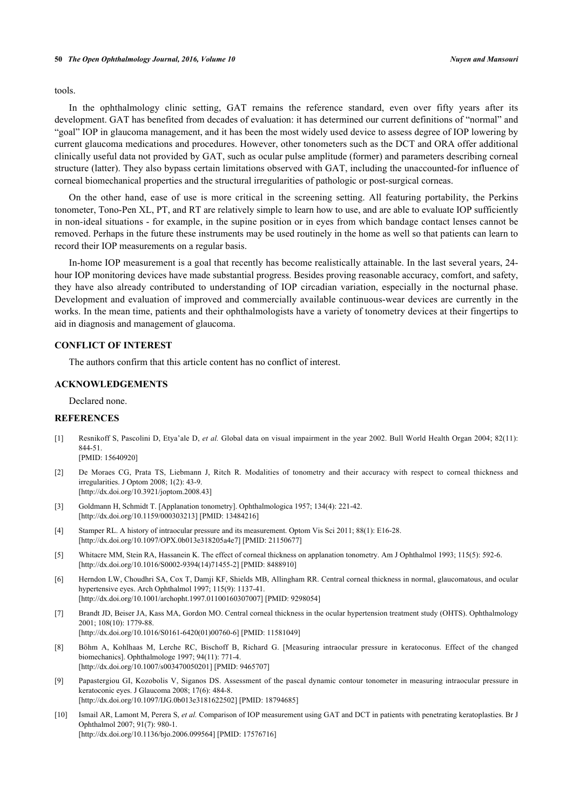tools.

In the ophthalmology clinic setting, GAT remains the reference standard, even over fifty years after its development. GAT has benefited from decades of evaluation: it has determined our current definitions of "normal" and "goal" IOP in glaucoma management, and it has been the most widely used device to assess degree of IOP lowering by current glaucoma medications and procedures. However, other tonometers such as the DCT and ORA offer additional clinically useful data not provided by GAT, such as ocular pulse amplitude (former) and parameters describing corneal structure (latter). They also bypass certain limitations observed with GAT, including the unaccounted-for influence of corneal biomechanical properties and the structural irregularities of pathologic or post-surgical corneas.

On the other hand, ease of use is more critical in the screening setting. All featuring portability, the Perkins tonometer, Tono-Pen XL, PT, and RT are relatively simple to learn how to use, and are able to evaluate IOP sufficiently in non-ideal situations - for example, in the supine position or in eyes from which bandage contact lenses cannot be removed. Perhaps in the future these instruments may be used routinely in the home as well so that patients can learn to record their IOP measurements on a regular basis.

In-home IOP measurement is a goal that recently has become realistically attainable. In the last several years, 24 hour IOP monitoring devices have made substantial progress. Besides proving reasonable accuracy, comfort, and safety, they have also already contributed to understanding of IOP circadian variation, especially in the nocturnal phase. Development and evaluation of improved and commercially available continuous-wear devices are currently in the works. In the mean time, patients and their ophthalmologists have a variety of tonometry devices at their fingertips to aid in diagnosis and management of glaucoma.

### **CONFLICT OF INTEREST**

The authors confirm that this article content has no conflict of interest.

# **ACKNOWLEDGEMENTS**

Declared none.

# **REFERENCES**

<span id="page-6-0"></span>[1] Resnikoff S, Pascolini D, Etya'ale D, *et al.* Global data on visual impairment in the year 2002. Bull World Health Organ 2004; 82(11): 844-51.

[PMID: [15640920\]](http://www.ncbi.nlm.nih.gov/pubmed/15640920)

- <span id="page-6-1"></span>[2] De Moraes CG, Prata TS, Liebmann J, Ritch R. Modalities of tonometry and their accuracy with respect to corneal thickness and irregularities. J Optom 2008; 1(2): 43-9. [\[http://dx.doi.org/10.3921/joptom.2008.43](http://dx.doi.org/10.3921/joptom.2008.43)]
- <span id="page-6-2"></span>[3] Goldmann H, Schmidt T. [Applanation tonometry]. Ophthalmologica 1957; 134(4): 221-42. [\[http://dx.doi.org/10.1159/000303213\]](http://dx.doi.org/10.1159/000303213) [PMID: [13484216](http://www.ncbi.nlm.nih.gov/pubmed/13484216)]
- <span id="page-6-3"></span>[4] Stamper RL. A history of intraocular pressure and its measurement. Optom Vis Sci 2011; 88(1): E16-28. [\[http://dx.doi.org/10.1097/OPX.0b013e318205a4e7](http://dx.doi.org/10.1097/OPX.0b013e318205a4e7)] [PMID: [21150677](http://www.ncbi.nlm.nih.gov/pubmed/21150677)]
- <span id="page-6-4"></span>[5] Whitacre MM, Stein RA, Hassanein K. The effect of corneal thickness on applanation tonometry. Am J Ophthalmol 1993; 115(5): 592-6. [\[http://dx.doi.org/10.1016/S0002-9394\(14\)71455-2\]](http://dx.doi.org/10.1016/S0002-9394(14)71455-2) [PMID: [8488910](http://www.ncbi.nlm.nih.gov/pubmed/8488910)]
- <span id="page-6-5"></span>[6] Herndon LW, Choudhri SA, Cox T, Damji KF, Shields MB, Allingham RR. Central corneal thickness in normal, glaucomatous, and ocular hypertensive eyes. Arch Ophthalmol 1997; 115(9): 1137-41. [\[http://dx.doi.org/10.1001/archopht.1997.01100160307007\]](http://dx.doi.org/10.1001/archopht.1997.01100160307007) [PMID: [9298054](http://www.ncbi.nlm.nih.gov/pubmed/9298054)]
- <span id="page-6-6"></span>[7] Brandt JD, Beiser JA, Kass MA, Gordon MO. Central corneal thickness in the ocular hypertension treatment study (OHTS). Ophthalmology 2001; 108(10): 1779-88. [\[http://dx.doi.org/10.1016/S0161-6420\(01\)00760-6\]](http://dx.doi.org/10.1016/S0161-6420(01)00760-6) [PMID: [11581049](http://www.ncbi.nlm.nih.gov/pubmed/11581049)]
- <span id="page-6-7"></span>[8] Böhm A, Kohlhaas M, Lerche RC, Bischoff B, Richard G. [Measuring intraocular pressure in keratoconus. Effect of the changed biomechanics]. Ophthalmologe 1997; 94(11): 771-4. [\[http://dx.doi.org/10.1007/s003470050201\]](http://dx.doi.org/10.1007/s003470050201) [PMID: [9465707](http://www.ncbi.nlm.nih.gov/pubmed/9465707)]
- <span id="page-6-8"></span>[9] Papastergiou GI, Kozobolis V, Siganos DS. Assessment of the pascal dynamic contour tonometer in measuring intraocular pressure in keratoconic eyes. J Glaucoma 2008; 17(6): 484-8. [\[http://dx.doi.org/10.1097/IJG.0b013e3181622502\]](http://dx.doi.org/10.1097/IJG.0b013e3181622502) [PMID: [18794685](http://www.ncbi.nlm.nih.gov/pubmed/18794685)]
- <span id="page-6-9"></span>[10] Ismail AR, Lamont M, Perera S, *et al.* Comparison of IOP measurement using GAT and DCT in patients with penetrating keratoplasties. Br J Ophthalmol 2007; 91(7): 980-1. [\[http://dx.doi.org/10.1136/bjo.2006.099564](http://dx.doi.org/10.1136/bjo.2006.099564)] [PMID: [17576716\]](http://www.ncbi.nlm.nih.gov/pubmed/17576716)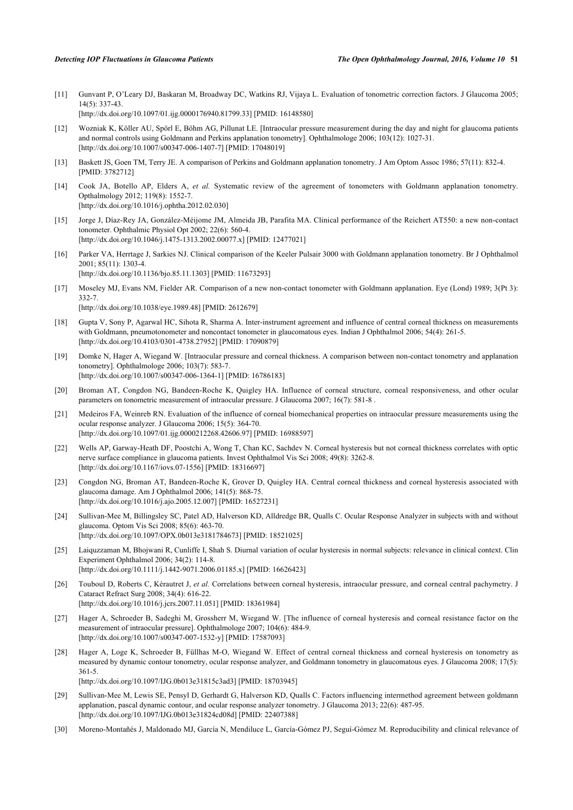<span id="page-7-0"></span>[11] Gunvant P, O'Leary DJ, Baskaran M, Broadway DC, Watkins RJ, Vijaya L. Evaluation of tonometric correction factors. J Glaucoma 2005; 14(5): 337-43. [\[http://dx.doi.org/10.1097/01.ijg.0000176940.81799.33](http://dx.doi.org/10.1097/01.ijg.0000176940.81799.33)] [PMID: [16148580\]](http://www.ncbi.nlm.nih.gov/pubmed/16148580)

- <span id="page-7-1"></span>[12] Wozniak K, Köller AU, Spörl E, Böhm AG, Pillunat LE. [Intraocular pressure measurement during the day and night for glaucoma patients and normal controls using Goldmann and Perkins applanation tonometry]. Ophthalmologe 2006; 103(12): 1027-31. [\[http://dx.doi.org/10.1007/s00347-006-1407-7\]](http://dx.doi.org/10.1007/s00347-006-1407-7) [PMID: [17048019](http://www.ncbi.nlm.nih.gov/pubmed/17048019)]
- <span id="page-7-2"></span>[13] Baskett JS, Goen TM, Terry JE. A comparison of Perkins and Goldmann applanation tonometry. J Am Optom Assoc 1986; 57(11): 832-4. [PMID: [3782712\]](http://www.ncbi.nlm.nih.gov/pubmed/3782712)
- <span id="page-7-3"></span>[14] Cook JA, Botello AP, Elders A, *et al.* Systematic review of the agreement of tonometers with Goldmann applanation tonometry. Opthalmology 2012; 119(8): 1552-7. [\[http://dx.doi.org/10.1016/j.ophtha.2012.02.030\]](http://dx.doi.org/10.1016/j.ophtha.2012.02.030)
- <span id="page-7-4"></span>[15] Jorge J, Díaz-Rey JA, González-Méijome JM, Almeida JB, Parafita MA. Clinical performance of the Reichert AT550: a new non-contact tonometer. Ophthalmic Physiol Opt 2002; 22(6): 560-4. [\[http://dx.doi.org/10.1046/j.1475-1313.2002.00077.x\]](http://dx.doi.org/10.1046/j.1475-1313.2002.00077.x) [PMID: [12477021](http://www.ncbi.nlm.nih.gov/pubmed/12477021)]
- <span id="page-7-6"></span>[16] Parker VA, Herrtage J, Sarkies NJ. Clinical comparison of the Keeler Pulsair 3000 with Goldmann applanation tonometry. Br J Ophthalmol 2001; 85(11): 1303-4.

[\[http://dx.doi.org/10.1136/bjo.85.11.1303](http://dx.doi.org/10.1136/bjo.85.11.1303)] [PMID: [11673293\]](http://www.ncbi.nlm.nih.gov/pubmed/11673293)

<span id="page-7-5"></span>[17] Moseley MJ, Evans NM, Fielder AR. Comparison of a new non-contact tonometer with Goldmann applanation. Eye (Lond) 1989; 3(Pt 3): 332-7.

[\[http://dx.doi.org/10.1038/eye.1989.48\]](http://dx.doi.org/10.1038/eye.1989.48) [PMID: [2612679](http://www.ncbi.nlm.nih.gov/pubmed/2612679)]

- <span id="page-7-7"></span>[18] Gupta V, Sony P, Agarwal HC, Sihota R, Sharma A. Inter-instrument agreement and influence of central corneal thickness on measurements with Goldmann, pneumotonometer and noncontact tonometer in glaucomatous eyes. Indian J Ophthalmol 2006; 54(4): 261-5. [\[http://dx.doi.org/10.4103/0301-4738.27952](http://dx.doi.org/10.4103/0301-4738.27952)] [PMID: [17090879](http://www.ncbi.nlm.nih.gov/pubmed/17090879)]
- <span id="page-7-8"></span>[19] Domke N, Hager A, Wiegand W. [Intraocular pressure and corneal thickness. A comparison between non-contact tonometry and applanation tonometry]. Ophthalmologe 2006; 103(7): 583-7. [\[http://dx.doi.org/10.1007/s00347-006-1364-1\]](http://dx.doi.org/10.1007/s00347-006-1364-1) [PMID: [16786183](http://www.ncbi.nlm.nih.gov/pubmed/16786183)]
- <span id="page-7-9"></span>[20] Broman AT, Congdon NG, Bandeen-Roche K, Quigley HA. Influence of corneal structure, corneal responsiveness, and other ocular parameters on tonometric measurement of intraocular pressure. J Glaucoma 2007; 16(7): 581-8 .
- <span id="page-7-10"></span>[21] Medeiros FA, Weinreb RN. Evaluation of the influence of corneal biomechanical properties on intraocular pressure measurements using the ocular response analyzer. J Glaucoma 2006; 15(5): 364-70. [\[http://dx.doi.org/10.1097/01.ijg.0000212268.42606.97](http://dx.doi.org/10.1097/01.ijg.0000212268.42606.97)] [PMID: [16988597\]](http://www.ncbi.nlm.nih.gov/pubmed/16988597)
- <span id="page-7-11"></span>[22] Wells AP, Garway-Heath DF, Poostchi A, Wong T, Chan KC, Sachdev N. Corneal hysteresis but not corneal thickness correlates with optic nerve surface compliance in glaucoma patients. Invest Ophthalmol Vis Sci 2008; 49(8): 3262-8. [\[http://dx.doi.org/10.1167/iovs.07-1556\]](http://dx.doi.org/10.1167/iovs.07-1556) [PMID: [18316697](http://www.ncbi.nlm.nih.gov/pubmed/18316697)]
- <span id="page-7-12"></span>[23] Congdon NG, Broman AT, Bandeen-Roche K, Grover D, Quigley HA. Central corneal thickness and corneal hysteresis associated with glaucoma damage. Am J Ophthalmol 2006; 141(5): 868-75. [\[http://dx.doi.org/10.1016/j.ajo.2005.12.007\]](http://dx.doi.org/10.1016/j.ajo.2005.12.007) [PMID: [16527231](http://www.ncbi.nlm.nih.gov/pubmed/16527231)]
- <span id="page-7-13"></span>[24] Sullivan-Mee M, Billingsley SC, Patel AD, Halverson KD, Alldredge BR, Qualls C. Ocular Response Analyzer in subjects with and without glaucoma. Optom Vis Sci 2008; 85(6): 463-70. [\[http://dx.doi.org/10.1097/OPX.0b013e3181784673](http://dx.doi.org/10.1097/OPX.0b013e3181784673)] [PMID: [18521025\]](http://www.ncbi.nlm.nih.gov/pubmed/18521025)
- <span id="page-7-14"></span>[25] Laiquzzaman M, Bhojwani R, Cunliffe I, Shah S. Diurnal variation of ocular hysteresis in normal subjects: relevance in clinical context. Clin Experiment Ophthalmol 2006; 34(2): 114-8. [\[http://dx.doi.org/10.1111/j.1442-9071.2006.01185.x\]](http://dx.doi.org/10.1111/j.1442-9071.2006.01185.x) [PMID: [16626423](http://www.ncbi.nlm.nih.gov/pubmed/16626423)]
- [26] Touboul D, Roberts C, Kérautret J, et al. Correlations between corneal hysteresis, intraocular pressure, and corneal central pachymetry. J Cataract Refract Surg 2008; 34(4): 616-22. [\[http://dx.doi.org/10.1016/j.jcrs.2007.11.051\]](http://dx.doi.org/10.1016/j.jcrs.2007.11.051) [PMID: [18361984](http://www.ncbi.nlm.nih.gov/pubmed/18361984)]
- [27] Hager A, Schroeder B, Sadeghi M, Grossherr M, Wiegand W. [The influence of corneal hysteresis and corneal resistance factor on the measurement of intraocular pressure]. Ophthalmologe 2007; 104(6): 484-9. [\[http://dx.doi.org/10.1007/s00347-007-1532-y\]](http://dx.doi.org/10.1007/s00347-007-1532-y) [PMID: [17587093](http://www.ncbi.nlm.nih.gov/pubmed/17587093)]
- <span id="page-7-15"></span>[28] Hager A, Loge K, Schroeder B, Füllhas M-O, Wiegand W. Effect of central corneal thickness and corneal hysteresis on tonometry as measured by dynamic contour tonometry, ocular response analyzer, and Goldmann tonometry in glaucomatous eyes. J Glaucoma 2008; 17(5): 361-5.

[\[http://dx.doi.org/10.1097/IJG.0b013e31815c3ad3](http://dx.doi.org/10.1097/IJG.0b013e31815c3ad3)] [PMID: [18703945\]](http://www.ncbi.nlm.nih.gov/pubmed/18703945)

- <span id="page-7-16"></span>[29] Sullivan-Mee M, Lewis SE, Pensyl D, Gerhardt G, Halverson KD, Qualls C. Factors influencing intermethod agreement between goldmann applanation, pascal dynamic contour, and ocular response analyzer tonometry. J Glaucoma 2013; 22(6): 487-95. [\[http://dx.doi.org/10.1097/IJG.0b013e31824cd08d](http://dx.doi.org/10.1097/IJG.0b013e31824cd08d)] [PMID: [22407388](http://www.ncbi.nlm.nih.gov/pubmed/22407388)]
- <span id="page-7-17"></span>[30] Moreno-Montañés J, Maldonado MJ, García N, Mendiluce L, García-Gómez PJ, Seguí-Gómez M. Reproducibility and clinical relevance of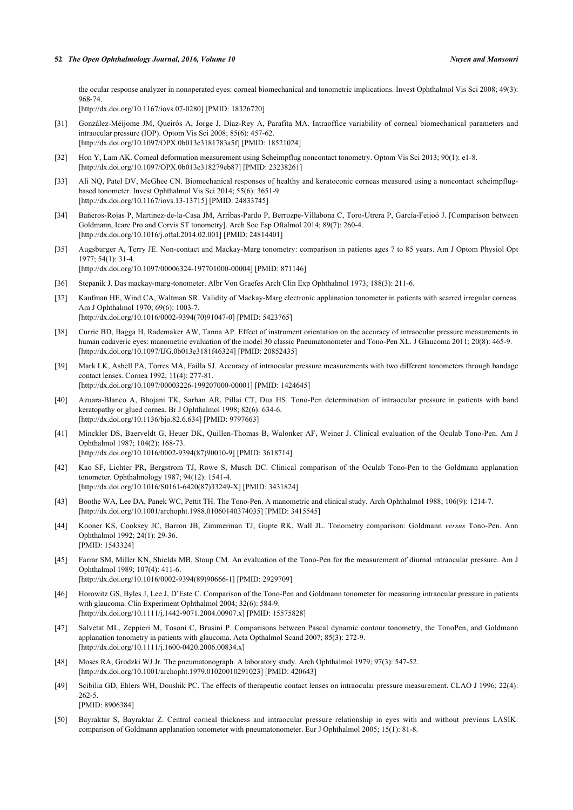the ocular response analyzer in nonoperated eyes: corneal biomechanical and tonometric implications. Invest Ophthalmol Vis Sci 2008; 49(3): 968-74.

[\[http://dx.doi.org/10.1167/iovs.07-0280\]](http://dx.doi.org/10.1167/iovs.07-0280) [PMID: [18326720](http://www.ncbi.nlm.nih.gov/pubmed/18326720)]

- <span id="page-8-0"></span>[31] González-Méijome JM, Queirós A, Jorge J, Díaz-Rey A, Parafita MA. Intraoffice variability of corneal biomechanical parameters and intraocular pressure (IOP). Optom Vis Sci 2008; 85(6): 457-62. [\[http://dx.doi.org/10.1097/OPX.0b013e3181783a5f\]](http://dx.doi.org/10.1097/OPX.0b013e3181783a5f) [PMID: [18521024](http://www.ncbi.nlm.nih.gov/pubmed/18521024)]
- <span id="page-8-1"></span>[32] Hon Y, Lam AK. Corneal deformation measurement using Scheimpflug noncontact tonometry. Optom Vis Sci 2013; 90(1): e1-8. [\[http://dx.doi.org/10.1097/OPX.0b013e318279eb87\]](http://dx.doi.org/10.1097/OPX.0b013e318279eb87) [PMID: [23238261](http://www.ncbi.nlm.nih.gov/pubmed/23238261)]
- <span id="page-8-2"></span>[33] Ali NQ, Patel DV, McGhee CN. Biomechanical responses of healthy and keratoconic corneas measured using a noncontact scheimpflugbased tonometer. Invest Ophthalmol Vis Sci 2014; 55(6): 3651-9. [\[http://dx.doi.org/10.1167/iovs.13-13715\]](http://dx.doi.org/10.1167/iovs.13-13715) [PMID: [24833745](http://www.ncbi.nlm.nih.gov/pubmed/24833745)]
- <span id="page-8-3"></span>[34] Bañeros-Rojas P, Martinez-de-la-Casa JM, Arribas-Pardo P, Berrozpe-Villabona C, Toro-Utrera P, García-Feijoó J. [Comparison between Goldmann, Icare Pro and Corvis ST tonometry]. Arch Soc Esp Oftalmol 2014; 89(7): 260-4. [\[http://dx.doi.org/10.1016/j.oftal.2014.02.001\]](http://dx.doi.org/10.1016/j.oftal.2014.02.001) [PMID: [24814401](http://www.ncbi.nlm.nih.gov/pubmed/24814401)]
- <span id="page-8-4"></span>[35] Augsburger A, Terry JE. Non-contact and Mackay-Marg tonometry: comparison in patients ages 7 to 85 years. Am J Optom Physiol Opt 1977; 54(1): 31-4. [\[http://dx.doi.org/10.1097/00006324-197701000-00004](http://dx.doi.org/10.1097/00006324-197701000-00004)] [PMID: [871146\]](http://www.ncbi.nlm.nih.gov/pubmed/871146)
- <span id="page-8-5"></span>[36] Stepanik J. Das mackay-marg-tonometer. Albr Von Graefes Arch Clin Exp Ophthalmol 1973; 188(3): 211-6.
- <span id="page-8-6"></span>[37] Kaufman HE, Wind CA, Waltman SR. Validity of Mackay-Marg electronic applanation tonometer in patients with scarred irregular corneas. Am J Ophthalmol 1970; 69(6): 1003-7. [\[http://dx.doi.org/10.1016/0002-9394\(70\)91047-0](http://dx.doi.org/10.1016/0002-9394(70)91047-0)] [PMID: [5423765](http://www.ncbi.nlm.nih.gov/pubmed/5423765)]
- <span id="page-8-7"></span>[38] Currie BD, Bagga H, Rademaker AW, Tanna AP. Effect of instrument orientation on the accuracy of intraocular pressure measurements in human cadaveric eyes: manometric evaluation of the model 30 classic Pneumatonometer and Tono-Pen XL. J Glaucoma 2011; 20(8): 465-9. [\[http://dx.doi.org/10.1097/IJG.0b013e3181f46324\]](http://dx.doi.org/10.1097/IJG.0b013e3181f46324) [PMID: [20852435](http://www.ncbi.nlm.nih.gov/pubmed/20852435)]
- <span id="page-8-8"></span>[39] Mark LK, Asbell PA, Torres MA, Failla SJ. Accuracy of intraocular pressure measurements with two different tonometers through bandage contact lenses. Cornea 1992; 11(4): 277-81. [\[http://dx.doi.org/10.1097/00003226-199207000-00001](http://dx.doi.org/10.1097/00003226-199207000-00001)] [PMID: [1424645\]](http://www.ncbi.nlm.nih.gov/pubmed/1424645)
- <span id="page-8-9"></span>[40] Azuara-Blanco A, Bhojani TK, Sarhan AR, Pillai CT, Dua HS. Tono-Pen determination of intraocular pressure in patients with band keratopathy or glued cornea. Br J Ophthalmol 1998; 82(6): 634-6. [\[http://dx.doi.org/10.1136/bjo.82.6.634](http://dx.doi.org/10.1136/bjo.82.6.634)] [PMID: [9797663\]](http://www.ncbi.nlm.nih.gov/pubmed/9797663)
- <span id="page-8-10"></span>[41] Minckler DS, Baerveldt G, Heuer DK, Quillen-Thomas B, Walonker AF, Weiner J. Clinical evaluation of the Oculab Tono-Pen. Am J Ophthalmol 1987; 104(2): 168-73. [\[http://dx.doi.org/10.1016/0002-9394\(87\)90010-9](http://dx.doi.org/10.1016/0002-9394(87)90010-9)] [PMID: [3618714](http://www.ncbi.nlm.nih.gov/pubmed/3618714)]
- [42] Kao SF, Lichter PR, Bergstrom TJ, Rowe S, Musch DC. Clinical comparison of the Oculab Tono-Pen to the Goldmann applanation tonometer. Ophthalmology 1987; 94(12): 1541-4. [\[http://dx.doi.org/10.1016/S0161-6420\(87\)33249-X\]](http://dx.doi.org/10.1016/S0161-6420(87)33249-X) [PMID: [3431824](http://www.ncbi.nlm.nih.gov/pubmed/3431824)]
- <span id="page-8-11"></span>[43] Boothe WA, Lee DA, Panek WC, Pettit TH. The Tono-Pen. A manometric and clinical study. Arch Ophthalmol 1988; 106(9): 1214-7. [\[http://dx.doi.org/10.1001/archopht.1988.01060140374035\]](http://dx.doi.org/10.1001/archopht.1988.01060140374035) [PMID: [3415545](http://www.ncbi.nlm.nih.gov/pubmed/3415545)]
- <span id="page-8-12"></span>[44] Kooner KS, Cooksey JC, Barron JB, Zimmerman TJ, Gupte RK, Wall JL. Tonometry comparison: Goldmann *versus* Tono-Pen. Ann Ophthalmol 1992; 24(1): 29-36. [PMID: [1543324\]](http://www.ncbi.nlm.nih.gov/pubmed/1543324)
- <span id="page-8-13"></span>[45] Farrar SM, Miller KN, Shields MB, Stoup CM. An evaluation of the Tono-Pen for the measurement of diurnal intraocular pressure. Am J Ophthalmol 1989; 107(4): 411-6. [\[http://dx.doi.org/10.1016/0002-9394\(89\)90666-1](http://dx.doi.org/10.1016/0002-9394(89)90666-1)] [PMID: [2929709](http://www.ncbi.nlm.nih.gov/pubmed/2929709)]
- <span id="page-8-14"></span>[46] Horowitz GS, Byles J, Lee J, D'Este C. Comparison of the Tono-Pen and Goldmann tonometer for measuring intraocular pressure in patients with glaucoma. Clin Experiment Ophthalmol 2004; 32(6): 584-9. [\[http://dx.doi.org/10.1111/j.1442-9071.2004.00907.x\]](http://dx.doi.org/10.1111/j.1442-9071.2004.00907.x) [PMID: [15575828](http://www.ncbi.nlm.nih.gov/pubmed/15575828)]
- <span id="page-8-15"></span>[47] Salvetat ML, Zeppieri M, Tosoni C, Brusini P. Comparisons between Pascal dynamic contour tonometry, the TonoPen, and Goldmann applanation tonometry in patients with glaucoma. Acta Opthalmol Scand 2007; 85(3): 272-9. [\[http://dx.doi.org/10.1111/j.1600-0420.2006.00834.x\]](http://dx.doi.org/10.1111/j.1600-0420.2006.00834.x)
- <span id="page-8-16"></span>[48] Moses RA, Grodzki WJ Jr. The pneumatonograph. A laboratory study. Arch Ophthalmol 1979; 97(3): 547-52. [\[http://dx.doi.org/10.1001/archopht.1979.01020010291023\]](http://dx.doi.org/10.1001/archopht.1979.01020010291023) [PMID: [420643](http://www.ncbi.nlm.nih.gov/pubmed/420643)]
- <span id="page-8-17"></span>[49] Scibilia GD, Ehlers WH, Donshik PC. The effects of therapeutic contact lenses on intraocular pressure measurement. CLAO J 1996; 22(4): 262-5. [PMID: [8906384\]](http://www.ncbi.nlm.nih.gov/pubmed/8906384)
- <span id="page-8-18"></span>[50] Bayraktar S, Bayraktar Z. Central corneal thickness and intraocular pressure relationship in eyes with and without previous LASIK: comparison of Goldmann applanation tonometer with pneumatonometer. Eur J Ophthalmol 2005; 15(1): 81-8.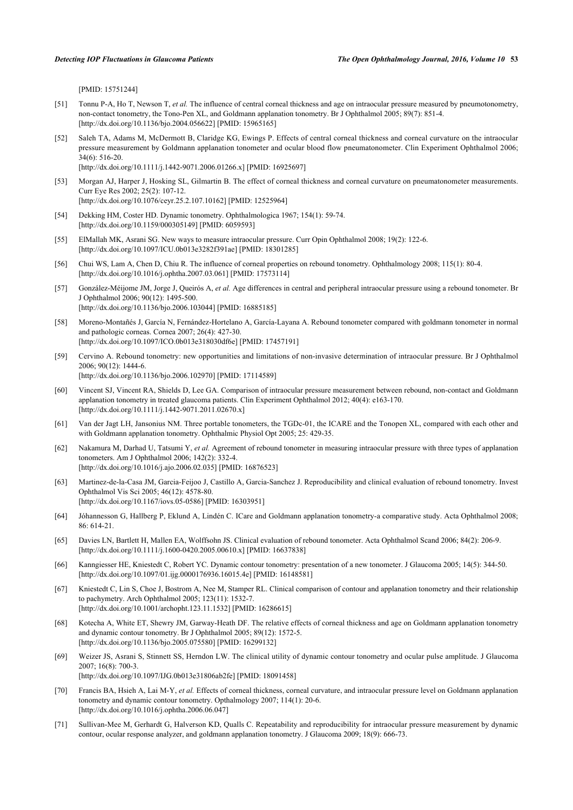[PMID: [15751244\]](http://www.ncbi.nlm.nih.gov/pubmed/15751244)

- <span id="page-9-0"></span>[51] Tonnu P-A, Ho T, Newson T, *et al.* The influence of central corneal thickness and age on intraocular pressure measured by pneumotonometry, non-contact tonometry, the Tono-Pen XL, and Goldmann applanation tonometry. Br J Ophthalmol 2005; 89(7): 851-4. [\[http://dx.doi.org/10.1136/bjo.2004.056622](http://dx.doi.org/10.1136/bjo.2004.056622)] [PMID: [15965165\]](http://www.ncbi.nlm.nih.gov/pubmed/15965165)
- <span id="page-9-1"></span>[52] Saleh TA, Adams M, McDermott B, Claridge KG, Ewings P. Effects of central corneal thickness and corneal curvature on the intraocular pressure measurement by Goldmann applanation tonometer and ocular blood flow pneumatonometer. Clin Experiment Ophthalmol 2006; 34(6): 516-20. [\[http://dx.doi.org/10.1111/j.1442-9071.2006.01266.x\]](http://dx.doi.org/10.1111/j.1442-9071.2006.01266.x) [PMID: [16925697](http://www.ncbi.nlm.nih.gov/pubmed/16925697)]
- <span id="page-9-2"></span>[53] Morgan AJ, Harper J, Hosking SL, Gilmartin B. The effect of corneal thickness and corneal curvature on pneumatonometer measurements. Curr Eye Res 2002; 25(2): 107-12. [\[http://dx.doi.org/10.1076/ceyr.25.2.107.10162\]](http://dx.doi.org/10.1076/ceyr.25.2.107.10162) [PMID: [12525964](http://www.ncbi.nlm.nih.gov/pubmed/12525964)]
- <span id="page-9-3"></span>[54] Dekking HM, Coster HD. Dynamic tonometry. Ophthalmologica 1967; 154(1): 59-74. [\[http://dx.doi.org/10.1159/000305149\]](http://dx.doi.org/10.1159/000305149) [PMID: [6059593](http://www.ncbi.nlm.nih.gov/pubmed/6059593)]
- <span id="page-9-4"></span>[55] ElMallah MK, Asrani SG. New ways to measure intraocular pressure. Curr Opin Ophthalmol 2008; 19(2): 122-6. [\[http://dx.doi.org/10.1097/ICU.0b013e3282f391ae\]](http://dx.doi.org/10.1097/ICU.0b013e3282f391ae) [PMID: [18301285](http://www.ncbi.nlm.nih.gov/pubmed/18301285)]
- <span id="page-9-5"></span>[56] Chui WS, Lam A, Chen D, Chiu R. The influence of corneal properties on rebound tonometry. Ophthalmology 2008; 115(1): 80-4. [\[http://dx.doi.org/10.1016/j.ophtha.2007.03.061\]](http://dx.doi.org/10.1016/j.ophtha.2007.03.061) [PMID: [17573114](http://www.ncbi.nlm.nih.gov/pubmed/17573114)]
- <span id="page-9-6"></span>[57] González-Méijome JM, Jorge J, Queirós A, *et al.* Age differences in central and peripheral intraocular pressure using a rebound tonometer. Br J Ophthalmol 2006; 90(12): 1495-500. [\[http://dx.doi.org/10.1136/bjo.2006.103044](http://dx.doi.org/10.1136/bjo.2006.103044)] [PMID: [16885185\]](http://www.ncbi.nlm.nih.gov/pubmed/16885185)
- <span id="page-9-7"></span>[58] Moreno-Montañés J, García N, Fernández-Hortelano A, García-Layana A. Rebound tonometer compared with goldmann tonometer in normal and pathologic corneas. Cornea 2007; 26(4): 427-30. [\[http://dx.doi.org/10.1097/ICO.0b013e318030df6e](http://dx.doi.org/10.1097/ICO.0b013e318030df6e)] [PMID: [17457191\]](http://www.ncbi.nlm.nih.gov/pubmed/17457191)
- <span id="page-9-8"></span>[59] Cervino A. Rebound tonometry: new opportunities and limitations of non-invasive determination of intraocular pressure. Br J Ophthalmol 2006; 90(12): 1444-6. [\[http://dx.doi.org/10.1136/bjo.2006.102970](http://dx.doi.org/10.1136/bjo.2006.102970)] [PMID: [17114589\]](http://www.ncbi.nlm.nih.gov/pubmed/17114589)
- <span id="page-9-9"></span>[60] Vincent SJ, Vincent RA, Shields D, Lee GA. Comparison of intraocular pressure measurement between rebound, non-contact and Goldmann applanation tonometry in treated glaucoma patients. Clin Experiment Ophthalmol 2012; 40(4): e163-170. [\[http://dx.doi.org/10.1111/j.1442-9071.2011.02670.x\]](http://dx.doi.org/10.1111/j.1442-9071.2011.02670.x)
- <span id="page-9-11"></span>[61] Van der Jagt LH, Jansonius NM. Three portable tonometers, the TGDc-01, the ICARE and the Tonopen XL, compared with each other and with Goldmann applanation tonometry. Ophthalmic Physiol Opt 2005; 25: 429-35.
- <span id="page-9-10"></span>[62] Nakamura M, Darhad U, Tatsumi Y, *et al.* Agreement of rebound tonometer in measuring intraocular pressure with three types of applanation tonometers. Am J Ophthalmol 2006; 142(2): 332-4. [\[http://dx.doi.org/10.1016/j.ajo.2006.02.035\]](http://dx.doi.org/10.1016/j.ajo.2006.02.035) [PMID: [16876523](http://www.ncbi.nlm.nih.gov/pubmed/16876523)]
- <span id="page-9-12"></span>[63] Martinez-de-la-Casa JM, Garcia-Feijoo J, Castillo A, Garcia-Sanchez J. Reproducibility and clinical evaluation of rebound tonometry. Invest Ophthalmol Vis Sci 2005; 46(12): 4578-80. [\[http://dx.doi.org/10.1167/iovs.05-0586\]](http://dx.doi.org/10.1167/iovs.05-0586) [PMID: [16303951](http://www.ncbi.nlm.nih.gov/pubmed/16303951)]
- <span id="page-9-13"></span>[64] Jóhannesson G, Hallberg P, Eklund A, Lindén C. ICare and Goldmann applanation tonometry-a comparative study. Acta Ophthalmol 2008; 86: 614-21.
- <span id="page-9-14"></span>[65] Davies LN, Bartlett H, Mallen EA, Wolffsohn JS. Clinical evaluation of rebound tonometer. Acta Ophthalmol Scand 2006; 84(2): 206-9. [\[http://dx.doi.org/10.1111/j.1600-0420.2005.00610.x\]](http://dx.doi.org/10.1111/j.1600-0420.2005.00610.x) [PMID: [16637838](http://www.ncbi.nlm.nih.gov/pubmed/16637838)]
- <span id="page-9-15"></span>[66] Kanngiesser HE, Kniestedt C, Robert YC. Dynamic contour tonometry: presentation of a new tonometer. J Glaucoma 2005; 14(5): 344-50. [\[http://dx.doi.org/10.1097/01.ijg.0000176936.16015.4e\]](http://dx.doi.org/10.1097/01.ijg.0000176936.16015.4e) [PMID: [16148581](http://www.ncbi.nlm.nih.gov/pubmed/16148581)]
- <span id="page-9-16"></span>[67] Kniestedt C, Lin S, Choe J, Bostrom A, Nee M, Stamper RL. Clinical comparison of contour and applanation tonometry and their relationship to pachymetry. Arch Ophthalmol 2005; 123(11): 1532-7. [\[http://dx.doi.org/10.1001/archopht.123.11.1532\]](http://dx.doi.org/10.1001/archopht.123.11.1532) [PMID: [16286615](http://www.ncbi.nlm.nih.gov/pubmed/16286615)]
- <span id="page-9-17"></span>[68] Kotecha A, White ET, Shewry JM, Garway-Heath DF. The relative effects of corneal thickness and age on Goldmann applanation tonometry and dynamic contour tonometry. Br J Ophthalmol 2005; 89(12): 1572-5. [\[http://dx.doi.org/10.1136/bjo.2005.075580](http://dx.doi.org/10.1136/bjo.2005.075580)] [PMID: [16299132\]](http://www.ncbi.nlm.nih.gov/pubmed/16299132)
- <span id="page-9-18"></span>[69] Weizer JS, Asrani S, Stinnett SS, Herndon LW. The clinical utility of dynamic contour tonometry and ocular pulse amplitude. J Glaucoma 2007; 16(8): 700-3.
	- [\[http://dx.doi.org/10.1097/IJG.0b013e31806ab2fe\]](http://dx.doi.org/10.1097/IJG.0b013e31806ab2fe) [PMID: [18091458](http://www.ncbi.nlm.nih.gov/pubmed/18091458)]
- <span id="page-9-19"></span>[70] Francis BA, Hsieh A, Lai M-Y, *et al.* Effects of corneal thickness, corneal curvature, and intraocular pressure level on Goldmann applanation tonometry and dynamic contour tonometry. Opthalmology 2007; 114(1): 20-6. [\[http://dx.doi.org/10.1016/j.ophtha.2006.06.047\]](http://dx.doi.org/10.1016/j.ophtha.2006.06.047)
- <span id="page-9-20"></span>[71] Sullivan-Mee M, Gerhardt G, Halverson KD, Qualls C. Repeatability and reproducibility for intraocular pressure measurement by dynamic contour, ocular response analyzer, and goldmann applanation tonometry. J Glaucoma 2009; 18(9): 666-73.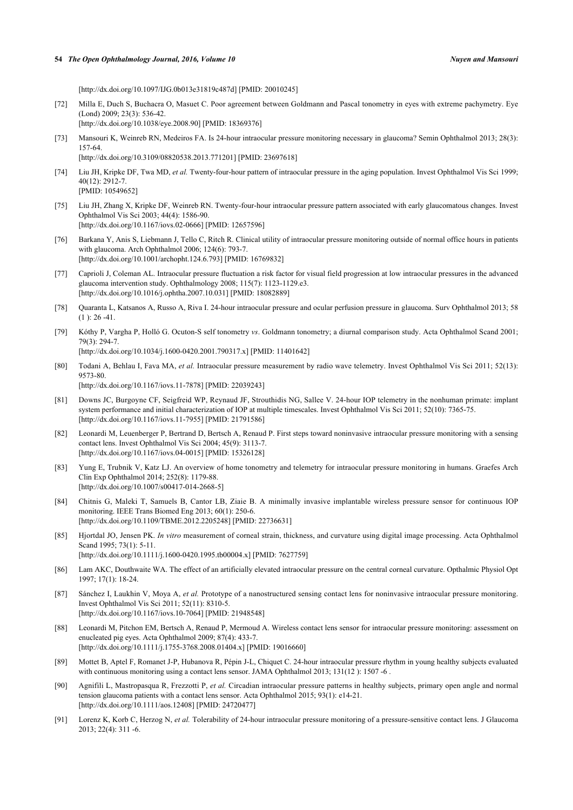#### **54** *The Open Ophthalmology Journal, 2016, Volume 10 Nuyen and Mansouri*

[\[http://dx.doi.org/10.1097/IJG.0b013e31819c487d](http://dx.doi.org/10.1097/IJG.0b013e31819c487d)] [PMID: [20010245](http://www.ncbi.nlm.nih.gov/pubmed/20010245)]

- <span id="page-10-0"></span>[72] Milla E, Duch S, Buchacra O, Masuet C. Poor agreement between Goldmann and Pascal tonometry in eyes with extreme pachymetry. Eye (Lond) 2009; 23(3): 536-42. [\[http://dx.doi.org/10.1038/eye.2008.90\]](http://dx.doi.org/10.1038/eye.2008.90) [PMID: [18369376](http://www.ncbi.nlm.nih.gov/pubmed/18369376)]
- <span id="page-10-1"></span>[73] Mansouri K, Weinreb RN, Medeiros FA. Is 24-hour intraocular pressure monitoring necessary in glaucoma? Semin Ophthalmol 2013; 28(3): 157-64.
	- [\[http://dx.doi.org/10.3109/08820538.2013.771201\]](http://dx.doi.org/10.3109/08820538.2013.771201) [PMID: [23697618](http://www.ncbi.nlm.nih.gov/pubmed/23697618)]
- <span id="page-10-2"></span>[74] Liu JH, Kripke DF, Twa MD, *et al.* Twenty-four-hour pattern of intraocular pressure in the aging population. Invest Ophthalmol Vis Sci 1999; 40(12): 2912-7. [PMID: [10549652\]](http://www.ncbi.nlm.nih.gov/pubmed/10549652)
- <span id="page-10-3"></span>[75] Liu JH, Zhang X, Kripke DF, Weinreb RN. Twenty-four-hour intraocular pressure pattern associated with early glaucomatous changes. Invest Ophthalmol Vis Sci 2003; 44(4): 1586-90. [\[http://dx.doi.org/10.1167/iovs.02-0666\]](http://dx.doi.org/10.1167/iovs.02-0666) [PMID: [12657596](http://www.ncbi.nlm.nih.gov/pubmed/12657596)]
- <span id="page-10-4"></span>[76] Barkana Y, Anis S, Liebmann J, Tello C, Ritch R. Clinical utility of intraocular pressure monitoring outside of normal office hours in patients with glaucoma. Arch Ophthalmol 2006; 124(6): 793-7. [\[http://dx.doi.org/10.1001/archopht.124.6.793\]](http://dx.doi.org/10.1001/archopht.124.6.793) [PMID: [16769832](http://www.ncbi.nlm.nih.gov/pubmed/16769832)]
- <span id="page-10-5"></span>[77] Caprioli J, Coleman AL. Intraocular pressure fluctuation a risk factor for visual field progression at low intraocular pressures in the advanced glaucoma intervention study. Ophthalmology 2008; 115(7): 1123-1129.e3. [\[http://dx.doi.org/10.1016/j.ophtha.2007.10.031\]](http://dx.doi.org/10.1016/j.ophtha.2007.10.031) [PMID: [18082889](http://www.ncbi.nlm.nih.gov/pubmed/18082889)]
- <span id="page-10-6"></span>[78] Quaranta L, Katsanos A, Russo A, Riva I. 24-hour intraocular pressure and ocular perfusion pressure in glaucoma. Surv Ophthalmol 2013; 58  $(1)$ : 26 -41.
- <span id="page-10-7"></span>[79] Kóthy P, Vargha P, Holló G. Ocuton-S self tonometry *vs*. Goldmann tonometry; a diurnal comparison study. Acta Ophthalmol Scand 2001; 79(3): 294-7.

[\[http://dx.doi.org/10.1034/j.1600-0420.2001.790317.x\]](http://dx.doi.org/10.1034/j.1600-0420.2001.790317.x) [PMID: [11401642](http://www.ncbi.nlm.nih.gov/pubmed/11401642)]

- <span id="page-10-8"></span>[80] Todani A, Behlau I, Fava MA, *et al.* Intraocular pressure measurement by radio wave telemetry. Invest Ophthalmol Vis Sci 2011; 52(13): 9573-80. [\[http://dx.doi.org/10.1167/iovs.11-7878\]](http://dx.doi.org/10.1167/iovs.11-7878) [PMID: [22039243](http://www.ncbi.nlm.nih.gov/pubmed/22039243)]
- <span id="page-10-9"></span>[81] Downs JC, Burgoyne CF, Seigfreid WP, Reynaud JF, Strouthidis NG, Sallee V. 24-hour IOP telemetry in the nonhuman primate: implant
- system performance and initial characterization of IOP at multiple timescales. Invest Ophthalmol Vis Sci 2011; 52(10): 7365-75. [\[http://dx.doi.org/10.1167/iovs.11-7955\]](http://dx.doi.org/10.1167/iovs.11-7955) [PMID: [21791586](http://www.ncbi.nlm.nih.gov/pubmed/21791586)]
- <span id="page-10-10"></span>[82] Leonardi M, Leuenberger P, Bertrand D, Bertsch A, Renaud P. First steps toward noninvasive intraocular pressure monitoring with a sensing contact lens. Invest Ophthalmol Vis Sci 2004; 45(9): 3113-7. [\[http://dx.doi.org/10.1167/iovs.04-0015\]](http://dx.doi.org/10.1167/iovs.04-0015) [PMID: [15326128](http://www.ncbi.nlm.nih.gov/pubmed/15326128)]
- <span id="page-10-11"></span>[83] Yung E, Trubnik V, Katz LJ. An overview of home tonometry and telemetry for intraocular pressure monitoring in humans. Graefes Arch Clin Exp Ophthalmol 2014; 252(8): 1179-88. [\[http://dx.doi.org/10.1007/s00417-014-2668-5\]](http://dx.doi.org/10.1007/s00417-014-2668-5)
- <span id="page-10-12"></span>[84] Chitnis G, Maleki T, Samuels B, Cantor LB, Ziaie B. A minimally invasive implantable wireless pressure sensor for continuous IOP monitoring. IEEE Trans Biomed Eng 2013; 60(1): 250-6. [\[http://dx.doi.org/10.1109/TBME.2012.2205248](http://dx.doi.org/10.1109/TBME.2012.2205248)] [PMID: [22736631\]](http://www.ncbi.nlm.nih.gov/pubmed/22736631)
- <span id="page-10-13"></span>[85] Hjortdal JO, Jensen PK. *In vitro* measurement of corneal strain, thickness, and curvature using digital image processing. Acta Ophthalmol Scand 1995; 73(1): 5-11.

[\[http://dx.doi.org/10.1111/j.1600-0420.1995.tb00004.x\]](http://dx.doi.org/10.1111/j.1600-0420.1995.tb00004.x) [PMID: [7627759](http://www.ncbi.nlm.nih.gov/pubmed/7627759)]

- <span id="page-10-14"></span>[86] Lam AKC, Douthwaite WA. The effect of an artificially elevated intraocular pressure on the central corneal curvature. Opthalmic Physiol Opt 1997; 17(1): 18-24.
- <span id="page-10-15"></span>[87] Sánchez I, Laukhin V, Moya A, *et al.* Prototype of a nanostructured sensing contact lens for noninvasive intraocular pressure monitoring. Invest Ophthalmol Vis Sci 2011; 52(11): 8310-5. [\[http://dx.doi.org/10.1167/iovs.10-7064\]](http://dx.doi.org/10.1167/iovs.10-7064) [PMID: [21948548](http://www.ncbi.nlm.nih.gov/pubmed/21948548)]
- <span id="page-10-16"></span>[88] Leonardi M, Pitchon EM, Bertsch A, Renaud P, Mermoud A. Wireless contact lens sensor for intraocular pressure monitoring: assessment on enucleated pig eyes. Acta Ophthalmol 2009; 87(4): 433-7. [\[http://dx.doi.org/10.1111/j.1755-3768.2008.01404.x\]](http://dx.doi.org/10.1111/j.1755-3768.2008.01404.x) [PMID: [19016660](http://www.ncbi.nlm.nih.gov/pubmed/19016660)]
- <span id="page-10-17"></span>[89] Mottet B, Aptel F, Romanet J-P, Hubanova R, Pépin J-L, Chiquet C. 24-hour intraocular pressure rhythm in young healthy subjects evaluated with continuous monitoring using a contact lens sensor. JAMA Ophthalmol 2013; 131(12): 1507 -6.
- <span id="page-10-18"></span>[90] Agnifili L, Mastropasqua R, Frezzotti P, *et al.* Circadian intraocular pressure patterns in healthy subjects, primary open angle and normal tension glaucoma patients with a contact lens sensor. Acta Ophthalmol 2015; 93(1): e14-21. [\[http://dx.doi.org/10.1111/aos.12408](http://dx.doi.org/10.1111/aos.12408)] [PMID: [24720477](http://www.ncbi.nlm.nih.gov/pubmed/24720477)]
- <span id="page-10-19"></span>[91] Lorenz K, Korb C, Herzog N, *et al.* Tolerability of 24-hour intraocular pressure monitoring of a pressure-sensitive contact lens. J Glaucoma 2013; 22(4): 311 -6.